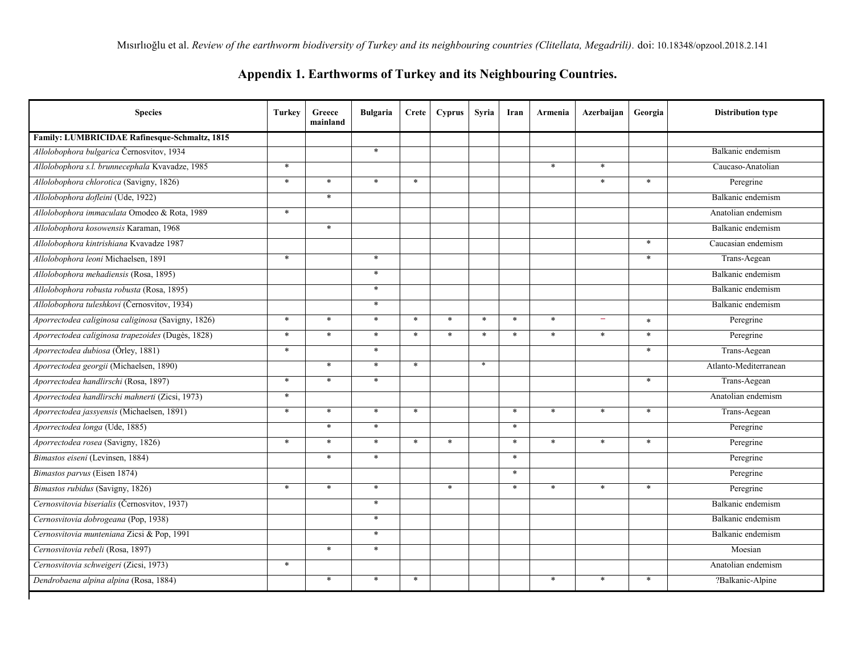## **Appendix 1. Earthworms of Turkey and its Neighbouring Countries.**

| <b>Species</b>                                     | Turkey | Greece<br>mainland | <b>Bulgaria</b> | Crete  | <b>Cyprus</b> | <b>Syria</b> | Iran   | Armenia | Azerbaijan | Georgia | <b>Distribution type</b> |
|----------------------------------------------------|--------|--------------------|-----------------|--------|---------------|--------------|--------|---------|------------|---------|--------------------------|
| Family: LUMBRICIDAE Rafinesque-Schmaltz, 1815      |        |                    |                 |        |               |              |        |         |            |         |                          |
| Allolobophora bulgarica Černosvitov, 1934          |        |                    | $\ast$          |        |               |              |        |         |            |         | Balkanic endemism        |
| Allolobophora s.l. brunnecephala Kvavadze, 1985    | $\ast$ |                    |                 |        |               |              |        | $\ast$  | $\ast$     |         | Caucaso-Anatolian        |
| Allolobophora chlorotica (Savigny, 1826)           | $\ast$ | $\ast$             | $\ast$          | $\ast$ |               |              |        |         | $\ast$     | $\ast$  | Peregrine                |
| Allolobophora dofleini (Ude, 1922)                 |        | $\ast$             |                 |        |               |              |        |         |            |         | Balkanic endemism        |
| Allolobophora immaculata Omodeo & Rota, 1989       | $\ast$ |                    |                 |        |               |              |        |         |            |         | Anatolian endemism       |
| Allolobophora kosowensis Karaman, 1968             |        | $\ast$             |                 |        |               |              |        |         |            |         | Balkanic endemism        |
| Allolobophora kintrishiana Kvavadze 1987           |        |                    |                 |        |               |              |        |         |            | $\ast$  | Caucasian endemism       |
| Allolobophora leoni Michaelsen, 1891               | $\ast$ |                    | $\ast$          |        |               |              |        |         |            | $\ast$  | Trans-Aegean             |
| Allolobophora mehadiensis (Rosa, 1895)             |        |                    | $\star$         |        |               |              |        |         |            |         | Balkanic endemism        |
| Allolobophora robusta robusta (Rosa, 1895)         |        |                    | $\ast$          |        |               |              |        |         |            |         | Balkanic endemism        |
| Allolobophora tuleshkovi (Černosvitov, 1934)       |        |                    | $\ast$          |        |               |              |        |         |            |         | Balkanic endemism        |
| Aporrectodea caliginosa caliginosa (Savigny, 1826) | $\ast$ | $\ast$             | $\ast$          | $\ast$ | $\ast$        | $\ast$       | $\ast$ | $\ast$  |            | $\ast$  | Peregrine                |
| Aporrectodea caliginosa trapezoides (Dugès, 1828)  | $\ast$ | $\ast$             | $\star$         | $\ast$ | $\ast$        | $\ast$       | $\ast$ | $\ast$  | $\ast$     | $\ast$  | Peregrine                |
| Aporrectodea dubiosa (Örley, 1881)                 | $\ast$ |                    | $\ast$          |        |               |              |        |         |            | $\ast$  | Trans-Aegean             |
| Aporrectodea georgii (Michaelsen, 1890)            |        | $\ast$             | $\star$         | $\ast$ |               | $\ast$       |        |         |            |         | Atlanto-Mediterranean    |
| Aporrectodea handlirschi (Rosa, 1897)              | $\ast$ | $\ast$             | $\ast$          |        |               |              |        |         |            | $\ast$  | Trans-Aegean             |
| Aporrectodea handlirschi mahnerti (Zicsi, 1973)    | $\ast$ |                    |                 |        |               |              |        |         |            |         | Anatolian endemism       |
| Aporrectodea jassyensis (Michaelsen, 1891)         | $\ast$ | $\ast$             | $\ast$          | $\ast$ |               |              | $\ast$ | $\star$ | $\ast$     | $\ast$  | Trans-Aegean             |
| Aporrectodea longa (Ude, 1885)                     |        | $\ast$             | $\star$         |        |               |              | $\ast$ |         |            |         | Peregrine                |
| Aporrectodea rosea (Savigny, 1826)                 | $\ast$ | $\ast$             | $\ast$          | $\ast$ | $\ast$        |              | $\ast$ | $\ast$  | $\ast$     | $\ast$  | Peregrine                |
| Bimastos eiseni (Levinsen, 1884)                   |        | $\ast$             | $\star$         |        |               |              | $\ast$ |         |            |         | Peregrine                |
| Bimastos parvus (Eisen 1874)                       |        |                    |                 |        |               |              | $\ast$ |         |            |         | Peregrine                |
| Bimastos rubidus (Savigny, 1826)                   | $\ast$ | $\ast$             | $\ast$          |        | $\ast$        |              | ∗      | $\ast$  | $\ast$     | $\ast$  | Peregrine                |
| Cernosvitovia biserialis (Černosvitov, 1937)       |        |                    | $\star$         |        |               |              |        |         |            |         | Balkanic endemism        |
| Cernosvitovia dobrogeana (Pop, 1938)               |        |                    | $\star$         |        |               |              |        |         |            |         | Balkanic endemism        |
| Cernosvitovia munteniana Zicsi & Pop, 1991         |        |                    | $\ast$          |        |               |              |        |         |            |         | Balkanic endemism        |
| Cernosvitovia rebeli (Rosa, 1897)                  |        | $\ast$             | $\star$         |        |               |              |        |         |            |         | Moesian                  |
| Cernosvitovia schweigeri (Zicsi, 1973)             | $\ast$ |                    |                 |        |               |              |        |         |            |         | Anatolian endemism       |
| Dendrobaena alpina alpina (Rosa, 1884)             |        | $\ast$             | $\ast$          | $\ast$ |               |              |        | $\ast$  | $\ast$     | $\ast$  | ?Balkanic-Alpine         |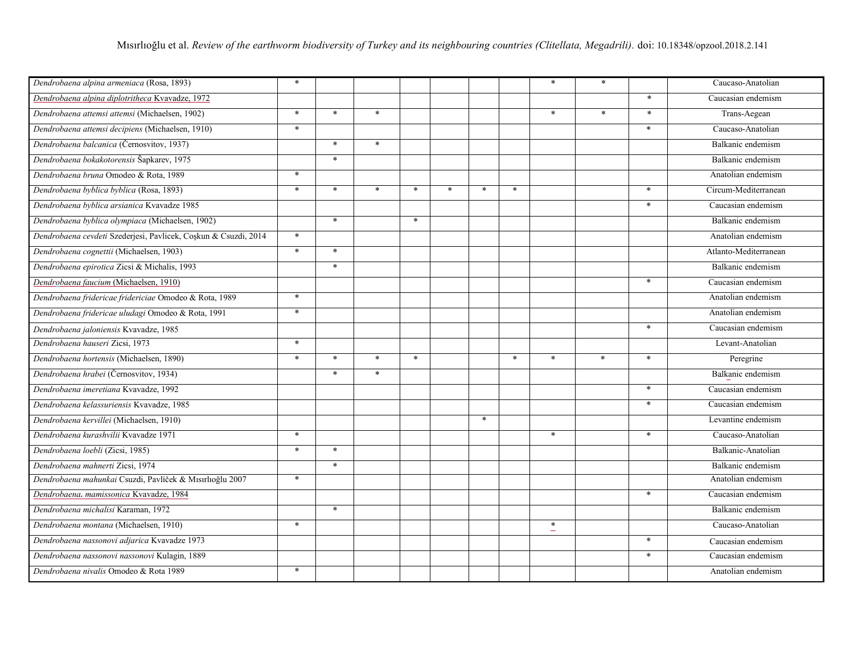| Dendrobaena alpina armeniaca (Rosa, 1893)                       | $\ast$ |        |        |        |        |        |        | $\ast$           | $\ast$ |        | Caucaso-Anatolian     |
|-----------------------------------------------------------------|--------|--------|--------|--------|--------|--------|--------|------------------|--------|--------|-----------------------|
| Dendrobaena alpina diplotritheca Kvavadze, 1972                 |        |        |        |        |        |        |        |                  |        | $\ast$ | Caucasian endemism    |
| Dendrobaena attemsi attemsi (Michaelsen, 1902)                  | $\ast$ | $\ast$ | $\ast$ |        |        |        |        | $\ast$           | $\ast$ | $\ast$ | Trans-Aegean          |
| Dendrobaena attemsi decipiens (Michaelsen, 1910)                | $\ast$ |        |        |        |        |        |        |                  |        | $\ast$ | Caucaso-Anatolian     |
| Dendrobaena balcanica (Černosvitov, 1937)                       |        | $\ast$ | $\ast$ |        |        |        |        |                  |        |        | Balkanic endemism     |
| Dendrobaena bokakotorensis Šapkarev, 1975                       |        | $\ast$ |        |        |        |        |        |                  |        |        | Balkanic endemism     |
| Dendrobaena bruna Omodeo & Rota, 1989                           | $\ast$ |        |        |        |        |        |        |                  |        |        | Anatolian endemism    |
| Dendrobaena byblica byblica (Rosa, 1893)                        | $\ast$ | $\ast$ | $\ast$ | $\ast$ | $\ast$ | ∗      | $\ast$ |                  |        | $\ast$ | Circum-Mediterranean  |
| Dendrobaena byblica arsianica Kvavadze 1985                     |        |        |        |        |        |        |        |                  |        | $\ast$ | Caucasian endemism    |
| Dendrobaena byblica olympiaca (Michaelsen, 1902)                |        | $\ast$ |        | $\ast$ |        |        |        |                  |        |        | Balkanic endemism     |
| Dendrobaena cevdeti Szederjesi, Pavlicek, Coşkun & Csuzdi, 2014 | $\ast$ |        |        |        |        |        |        |                  |        |        | Anatolian endemism    |
| Dendrobaena cognettii (Michaelsen, 1903)                        | $\ast$ | $\ast$ |        |        |        |        |        |                  |        |        | Atlanto-Mediterranean |
| Dendrobaena epirotica Zicsi & Michalis, 1993                    |        | $\ast$ |        |        |        |        |        |                  |        |        | Balkanic endemism     |
| Dendrobaena faucium (Michaelsen, 1910)                          |        |        |        |        |        |        |        |                  |        | $\ast$ | Caucasian endemism    |
| Dendrobaena fridericae fridericiae Omodeo & Rota, 1989          | $\ast$ |        |        |        |        |        |        |                  |        |        | Anatolian endemism    |
| Dendrobaena fridericae uludagi Omodeo & Rota, 1991              | $\ast$ |        |        |        |        |        |        |                  |        |        | Anatolian endemism    |
| Dendrobaena jaloniensis Kvavadze, 1985                          |        |        |        |        |        |        |        |                  |        | $\ast$ | Caucasian endemism    |
| Dendrobaena hauseri Zicsi, 1973                                 | $\ast$ |        |        |        |        |        |        |                  |        |        | Levant-Anatolian      |
| Dendrobaena hortensis (Michaelsen, 1890)                        | $\ast$ | $\ast$ | $\ast$ | $\ast$ |        |        | $\ast$ | $\ast$           | $\ast$ | $\ast$ | Peregrine             |
| Dendrobaena hrabei (Černosvitov, 1934)                          |        | $\ast$ | $\ast$ |        |        |        |        |                  |        |        | Balkanic endemism     |
| Dendrobaena imeretiana Kvavadze, 1992                           |        |        |        |        |        |        |        |                  |        | $\ast$ | Caucasian endemism    |
| Dendrobaena kelassuriensis Kvavadze, 1985                       |        |        |        |        |        |        |        |                  |        | $\ast$ | Caucasian endemism    |
| Dendrobaena kervillei (Michaelsen, 1910)                        |        |        |        |        |        | $\ast$ |        |                  |        |        | Levantine endemism    |
| Dendrobaena kurashvilii Kvavadze 1971                           | $\ast$ |        |        |        |        |        |        | $\ast$           |        | $\ast$ | Caucaso-Anatolian     |
| Dendrobaena loebli (Zicsi, 1985)                                | $\ast$ | $\ast$ |        |        |        |        |        |                  |        |        | Balkanic-Anatolian    |
| Dendrobaena mahnerti Zicsi, 1974                                |        | $\ast$ |        |        |        |        |        |                  |        |        | Balkanic endemism     |
| Dendrobaena mahunkai Csuzdi, Pavlíček & Mısırlıoğlu 2007        | $\ast$ |        |        |        |        |        |        |                  |        |        | Anatolian endemism    |
| Dendrobaena- mamissonica Kvavadze, 1984                         |        |        |        |        |        |        |        |                  |        | $\ast$ | Caucasian endemism    |
| Dendrobaena michalisi Karaman, 1972                             |        | $\ast$ |        |        |        |        |        |                  |        |        | Balkanic endemism     |
| Dendrobaena montana (Michaelsen, 1910)                          | $\ast$ |        |        |        |        |        |        | $\ast$<br>$\sim$ |        |        | Caucaso-Anatolian     |
| Dendrobaena nassonovi adjarica Kvavadze 1973                    |        |        |        |        |        |        |        |                  |        | $\ast$ | Caucasian endemism    |
| Dendrobaena nassonovi nassonovi Kulagin, 1889                   |        |        |        |        |        |        |        |                  |        | $\ast$ | Caucasian endemism    |
| Dendrobaena nivalis Omodeo & Rota 1989                          | $\ast$ |        |        |        |        |        |        |                  |        |        | Anatolian endemism    |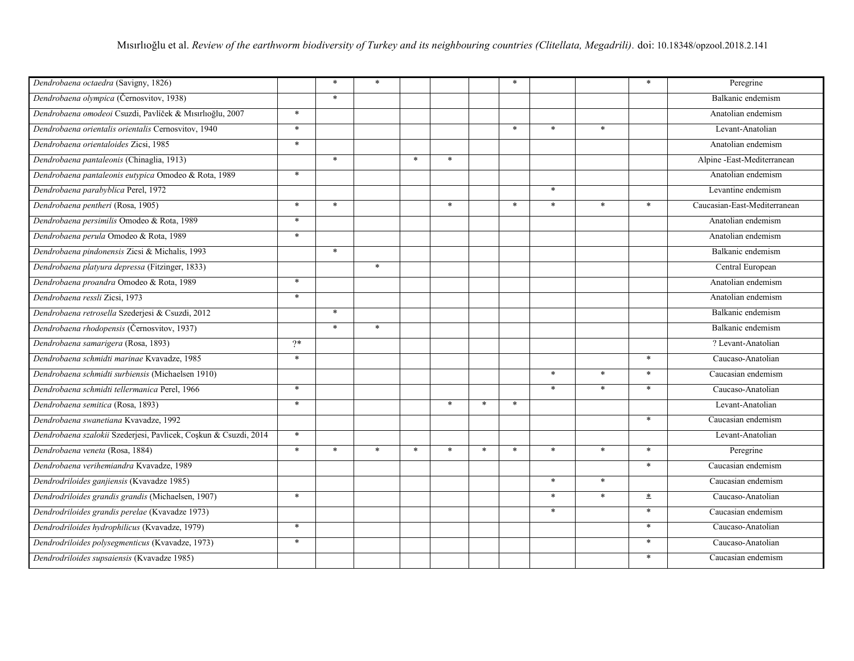| Dendrobaena octaedra (Savigny, 1826)                             |        | $\ast$ | $\ast$ |        |        |        | $\ast$ |         |         | $\ast$ | Peregrine                    |
|------------------------------------------------------------------|--------|--------|--------|--------|--------|--------|--------|---------|---------|--------|------------------------------|
| Dendrobaena olympica (Černosvitov, 1938)                         |        | $\ast$ |        |        |        |        |        |         |         |        | Balkanic endemism            |
| Dendrobaena omodeoi Csuzdi, Pavlíček & Mısırlıoğlu, 2007         | $\ast$ |        |        |        |        |        |        |         |         |        | Anatolian endemism           |
| Dendrobaena orientalis orientalis Cernosvitov, 1940              | $\ast$ |        |        |        |        |        | $\ast$ | $\ast$  | $\ast$  |        | Levant-Anatolian             |
| Dendrobaena orientaloides Zicsi, 1985                            | $\ast$ |        |        |        |        |        |        |         |         |        | Anatolian endemism           |
| Dendrobaena pantaleonis (Chinaglia, 1913)                        |        | $\ast$ |        | $\ast$ | $\ast$ |        |        |         |         |        | Alpine -East-Mediterranean   |
| Dendrobaena pantaleonis eutypica Omodeo & Rota, 1989             | $\ast$ |        |        |        |        |        |        |         |         |        | Anatolian endemism           |
| Dendrobaena parabyblica Perel, 1972                              |        |        |        |        |        |        |        | $\ast$  |         |        | Levantine endemism           |
| Dendrobaena pentheri (Rosa, 1905)                                | $\ast$ | $\ast$ |        |        | $\ast$ |        | $\ast$ | $\ast$  | $\star$ | $\ast$ | Caucasian-East-Mediterranean |
| Dendrobaena persimilis Omodeo & Rota, 1989                       | $\ast$ |        |        |        |        |        |        |         |         |        | Anatolian endemism           |
| Dendrobaena perula Omodeo & Rota, 1989                           | $\ast$ |        |        |        |        |        |        |         |         |        | Anatolian endemism           |
| Dendrobaena pindonensis Zicsi & Michalis, 1993                   |        | $\ast$ |        |        |        |        |        |         |         |        | Balkanic endemism            |
| Dendrobaena platyura depressa (Fitzinger, 1833)                  |        |        | $\ast$ |        |        |        |        |         |         |        | Central European             |
| Dendrobaena proandra Omodeo & Rota, 1989                         | $\ast$ |        |        |        |        |        |        |         |         |        | Anatolian endemism           |
| Dendrobaena ressli Zicsi, 1973                                   | $\ast$ |        |        |        |        |        |        |         |         |        | Anatolian endemism           |
| Dendrobaena retrosella Szederjesi & Csuzdi, 2012                 |        | $\ast$ |        |        |        |        |        |         |         |        | Balkanic endemism            |
| Dendrobaena rhodopensis (Černosvitov, 1937)                      |        | $\ast$ | $\ast$ |        |        |        |        |         |         |        | Balkanic endemism            |
| Dendrobaena samarigera (Rosa, 1893)                              | $2*$   |        |        |        |        |        |        |         |         |        | ? Levant-Anatolian           |
| Dendrobaena schmidti marinae Kvavadze, 1985                      | $\ast$ |        |        |        |        |        |        |         |         | $\ast$ | Caucaso-Anatolian            |
| Dendrobaena schmidti surbiensis (Michaelsen 1910)                |        |        |        |        |        |        |        | $\star$ | $\ast$  | $\ast$ | Caucasian endemism           |
| Dendrobaena schmidti tellermanica Perel, 1966                    | $\ast$ |        |        |        |        |        |        | $\ast$  | $\ast$  | $\ast$ | Caucaso-Anatolian            |
| Dendrobaena semitica (Rosa, 1893)                                | $\ast$ |        |        |        | $\ast$ | $\ast$ | $\ast$ |         |         |        | Levant-Anatolian             |
| Dendrobaena swanetiana Kvavadze, 1992                            |        |        |        |        |        |        |        |         |         | $\ast$ | Caucasian endemism           |
| Dendrobaena szalokii Szederjesi, Pavlicek, Coşkun & Csuzdi, 2014 | $\ast$ |        |        |        |        |        |        |         |         |        | Levant-Anatolian             |
| Dendrobaena veneta (Rosa, 1884)                                  | $\ast$ | $\ast$ | $\ast$ | $\ast$ | $\ast$ | $\ast$ | $\ast$ | $\ast$  | $\ast$  | $\ast$ | Peregrine                    |
| Dendrobaena verihemiandra Kvavadze, 1989                         |        |        |        |        |        |        |        |         |         | $\ast$ | Caucasian endemism           |
| Dendrodriloides ganjiensis (Kvavadze 1985)                       |        |        |        |        |        |        |        | $\ast$  | $\ast$  |        | Caucasian endemism           |
| Dendrodriloides grandis grandis (Michaelsen, 1907)               | $\ast$ |        |        |        |        |        |        | $\ast$  | $\ast$  | $\ast$ | Caucaso-Anatolian            |
| Dendrodriloides grandis perelae (Kvavadze 1973)                  |        |        |        |        |        |        |        | $\ast$  |         | $\ast$ | Caucasian endemism           |
| Dendrodriloides hydrophilicus (Kvavadze, 1979)                   | $\ast$ |        |        |        |        |        |        |         |         | $\ast$ | Caucaso-Anatolian            |
| Dendrodriloides polysegmenticus (Kvavadze, 1973)                 | $\ast$ |        |        |        |        |        |        |         |         | $\ast$ | Caucaso-Anatolian            |
| Dendrodriloides supsaiensis (Kvavadze 1985)                      |        |        |        |        |        |        |        |         |         | $\ast$ | Caucasian endemism           |
|                                                                  |        |        |        |        |        |        |        |         |         |        |                              |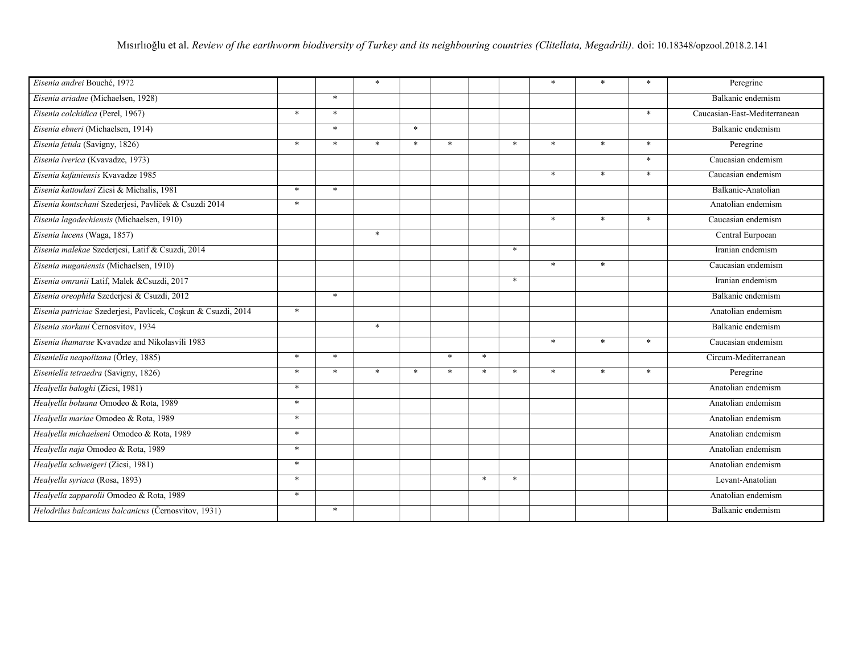| Eisenia andrei Bouché, 1972                                   |        |        | $\ast$ |        |        |        |        | $\ast$ | $\ast$ | $\ast$ | Peregrine                    |
|---------------------------------------------------------------|--------|--------|--------|--------|--------|--------|--------|--------|--------|--------|------------------------------|
| Eisenia ariadne (Michaelsen, 1928)                            |        | $\ast$ |        |        |        |        |        |        |        |        | Balkanic endemism            |
| Eisenia colchidica (Perel, 1967)                              | $\ast$ | $\ast$ |        |        |        |        |        |        |        | $\ast$ | Caucasian-East-Mediterranean |
| Eisenia ebneri (Michaelsen, 1914)                             |        | $\ast$ |        | $\ast$ |        |        |        |        |        |        | Balkanic endemism            |
| Eisenia fetida (Savigny, 1826)                                | $\ast$ | $\ast$ | $\ast$ | $\ast$ | $\ast$ |        | $\ast$ | $\ast$ | $\ast$ | $\ast$ | Peregrine                    |
| Eisenia iverica (Kvavadze, 1973)                              |        |        |        |        |        |        |        |        |        | $\ast$ | Caucasian endemism           |
| Eisenia kafaniensis Kvavadze 1985                             |        |        |        |        |        |        |        | $\ast$ | $\ast$ | $\ast$ | Caucasian endemism           |
| Eisenia kattoulasi Zicsi & Michalis, 1981                     | $\ast$ | $\ast$ |        |        |        |        |        |        |        |        | Balkanic-Anatolian           |
| Eisenia kontschani Szederjesi, Pavlíček & Csuzdi 2014         | $\ast$ |        |        |        |        |        |        |        |        |        | Anatolian endemism           |
| Eisenia lagodechiensis (Michaelsen, 1910)                     |        |        |        |        |        |        |        | $\ast$ | $\ast$ | $\ast$ | Caucasian endemism           |
| Eisenia lucens (Waga, 1857)                                   |        |        | $\ast$ |        |        |        |        |        |        |        | Central Eurpoean             |
| Eisenia malekae Szederjesi, Latif & Csuzdi, 2014              |        |        |        |        |        |        | $\ast$ |        |        |        | Iranian endemism             |
| Eisenia muganiensis (Michaelsen, 1910)                        |        |        |        |        |        |        |        | $\ast$ | $\ast$ |        | Caucasian endemism           |
| Eisenia omranii Latif, Malek &Csuzdi, 2017                    |        |        |        |        |        |        | $\ast$ |        |        |        | Iranian endemism             |
| Eisenia oreophila Szederjesi & Csuzdi, 2012                   |        | $\ast$ |        |        |        |        |        |        |        |        | Balkanic endemism            |
| Eisenia patriciae Szederjesi, Pavlicek, Coșkun & Csuzdi, 2014 | $\ast$ |        |        |        |        |        |        |        |        |        | Anatolian endemism           |
| Eisenia storkani Černosvitov, 1934                            |        |        | $\ast$ |        |        |        |        |        |        |        | Balkanic endemism            |
| Eisenia thamarae Kvavadze and Nikolasvili 1983                |        |        |        |        |        |        |        | $\ast$ | $\ast$ | $\ast$ | Caucasian endemism           |
| Eiseniella neapolitana (Örley, 1885)                          | $\ast$ | $\ast$ |        |        | $\ast$ | $\ast$ |        |        |        |        | Circum-Mediterranean         |
| Eiseniella tetraedra (Savigny, 1826)                          | $\ast$ | $\ast$ | $\ast$ | $\ast$ | $\ast$ | $\ast$ | $\ast$ | $\ast$ | $\ast$ | $\ast$ | Peregrine                    |
| Healyella baloghi (Zicsi, 1981)                               | $\ast$ |        |        |        |        |        |        |        |        |        | Anatolian endemism           |
| Healyella boluana Omodeo & Rota, 1989                         | $\ast$ |        |        |        |        |        |        |        |        |        | Anatolian endemism           |
| Healvella mariae Omodeo & Rota, 1989                          | $\ast$ |        |        |        |        |        |        |        |        |        | Anatolian endemism           |
| Healyella michaelseni Omodeo & Rota, 1989                     | $\ast$ |        |        |        |        |        |        |        |        |        | Anatolian endemism           |
| Healyella naja Omodeo & Rota, 1989                            | $\ast$ |        |        |        |        |        |        |        |        |        | Anatolian endemism           |
| Healyella schweigeri (Zicsi, 1981)                            | $\ast$ |        |        |        |        |        |        |        |        |        | Anatolian endemism           |
| Healyella syriaca (Rosa, 1893)                                | $\ast$ |        |        |        |        | $\ast$ | $\ast$ |        |        |        | Levant-Anatolian             |
| Healyella zapparolii Omodeo & Rota, 1989                      | $\ast$ |        |        |        |        |        |        |        |        |        | Anatolian endemism           |
| Helodrilus balcanicus balcanicus (Černosvitov, 1931)          |        | $\ast$ |        |        |        |        |        |        |        |        | Balkanic endemism            |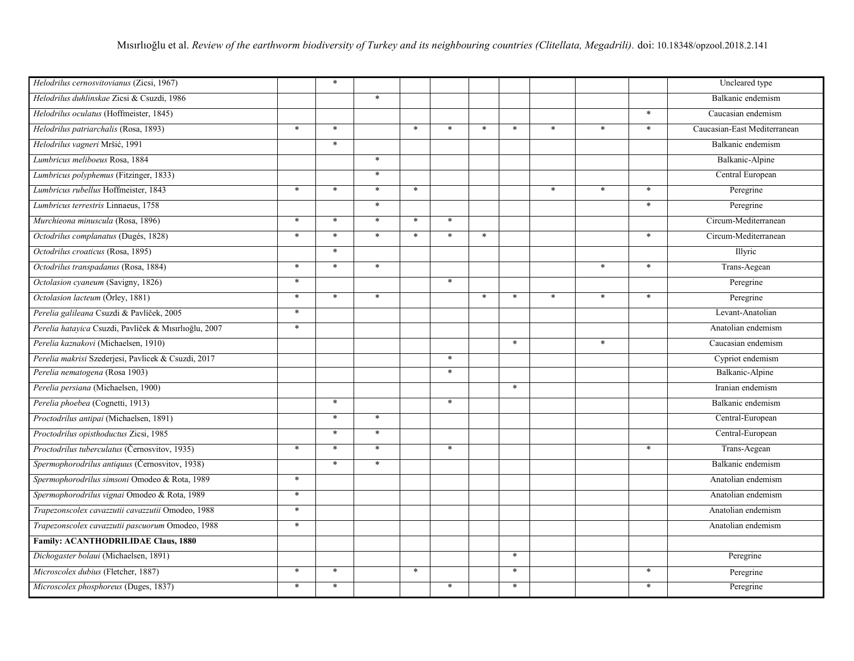| Helodrilus cernosvitovianus (Zicsi, 1967)             |        | $\ast$ |         |        |        |        |        |         |        |        | Uncleared type               |
|-------------------------------------------------------|--------|--------|---------|--------|--------|--------|--------|---------|--------|--------|------------------------------|
| Helodrilus duhlinskae Zicsi & Csuzdi, 1986            |        |        | $\ast$  |        |        |        |        |         |        |        | Balkanic endemism            |
| Helodrilus oculatus (Hoffmeister, 1845)               |        |        |         |        |        |        |        |         |        | $\ast$ | Caucasian endemism           |
| Helodrilus patriarchalis (Rosa, 1893)                 | $\ast$ | $\ast$ |         | $\ast$ | $\ast$ | $\ast$ | $\ast$ | $\ast$  | $\ast$ | $\ast$ | Caucasian-East Mediterranean |
| Helodrilus vagneri Mršić, 1991                        |        | $\ast$ |         |        |        |        |        |         |        |        | Balkanic endemism            |
| Lumbricus meliboeus Rosa, 1884                        |        |        | $\ast$  |        |        |        |        |         |        |        | Balkanic-Alpine              |
| Lumbricus polyphemus (Fitzinger, 1833)                |        |        | $\ast$  |        |        |        |        |         |        |        | Central European             |
| Lumbricus rubellus Hoffmeister, 1843                  | $\ast$ | $\ast$ | $\ast$  | $\ast$ |        |        |        | $\ast$  | $\ast$ | $\ast$ | Peregrine                    |
| Lumbricus terrestris Linnaeus, 1758                   |        |        | $\star$ |        |        |        |        |         |        | $\ast$ | Peregrine                    |
| Murchieona minuscula (Rosa, 1896)                     | $\ast$ | $\ast$ | $\ast$  | $\ast$ | $\ast$ |        |        |         |        |        | Circum-Mediterranean         |
| Octodrilus complanatus (Dugés, 1828)                  | $*$    | $\ast$ | $\ast$  | $\ast$ | $\ast$ | $\ast$ |        |         |        | $\ast$ | Circum-Mediterranean         |
| Octodrilus croaticus (Rosa, 1895)                     |        | $\ast$ |         |        |        |        |        |         |        |        | Illyric                      |
| Octodrilus transpadanus (Rosa, 1884)                  | $\ast$ | $\ast$ | $\ast$  |        |        |        |        |         | $\ast$ | $\ast$ | Trans-Aegean                 |
| Octolasion cyaneum (Savigny, 1826)                    | $\ast$ |        |         |        | $\ast$ |        |        |         |        |        | Peregrine                    |
| Octolasion lacteum (Örley, 1881)                      | $\ast$ | $\ast$ | $\ast$  |        |        | $\ast$ | $\ast$ | $\star$ | $\ast$ | $\ast$ | Peregrine                    |
| Perelia galileana Csuzdi & Pavlíček, 2005             | $\ast$ |        |         |        |        |        |        |         |        |        | Levant-Anatolian             |
| Perelia hatayica Csuzdi, Pavlíček & Mısırlıoğlu, 2007 | $\ast$ |        |         |        |        |        |        |         |        |        | Anatolian endemism           |
| Perelia kaznakovi (Michaelsen, 1910)                  |        |        |         |        |        |        | $\ast$ |         | $\ast$ |        | Caucasian endemism           |
| Perelia makrisi Szederjesi, Pavlicek & Csuzdi, 2017   |        |        |         |        | $\ast$ |        |        |         |        |        | Cypriot endemism             |
| Perelia nematogena (Rosa 1903)                        |        |        |         |        | $\ast$ |        |        |         |        |        | <b>Balkanic-Alpine</b>       |
| Perelia persiana (Michaelsen, 1900)                   |        |        |         |        |        |        | $\ast$ |         |        |        | Iranian endemism             |
| Perelia phoebea (Cognetti, 1913)                      |        | $\ast$ |         |        | $\ast$ |        |        |         |        |        | Balkanic endemism            |
| Proctodrilus antipai (Michaelsen, 1891)               |        | $\ast$ | $\ast$  |        |        |        |        |         |        |        | Central-European             |
| Proctodrilus opisthoductus Zicsi, 1985                |        | $\ast$ | $\ast$  |        |        |        |        |         |        |        | Central-European             |
| Proctodrilus tuberculatus (Černosvitov, 1935)         | $\ast$ | $\ast$ | $\ast$  |        | $\ast$ |        |        |         |        | $\ast$ | Trans-Aegean                 |
| Spermophorodrilus antiquus (Černosvitov, 1938)        |        | $\ast$ | $\ast$  |        |        |        |        |         |        |        | Balkanic endemism            |
| Spermophorodrilus simsoni Omodeo & Rota, 1989         | $\ast$ |        |         |        |        |        |        |         |        |        | Anatolian endemism           |
| Spermophorodrilus vignai Omodeo & Rota, 1989          | $\ast$ |        |         |        |        |        |        |         |        |        | Anatolian endemism           |
| Trapezonscolex cavazzutii cavazzutii Omodeo, 1988     | $\ast$ |        |         |        |        |        |        |         |        |        | Anatolian endemism           |
| Trapezonscolex cavazzutii pascuorum Omodeo, 1988      | $\ast$ |        |         |        |        |        |        |         |        |        | Anatolian endemism           |
| <b>Family: ACANTHODRILIDAE Claus, 1880</b>            |        |        |         |        |        |        |        |         |        |        |                              |
| Dichogaster bolaui (Michaelsen, 1891)                 |        |        |         |        |        |        | $\ast$ |         |        |        | Peregrine                    |
| Microscolex dubius (Fletcher, 1887)                   | $\ast$ | $\ast$ |         | $\ast$ |        |        | $\ast$ |         |        | $\ast$ | Peregrine                    |
| Microscolex phosphoreus (Duges, 1837)                 | $\ast$ | $\ast$ |         |        | $\ast$ |        | $\ast$ |         |        | $\ast$ | Peregrine                    |